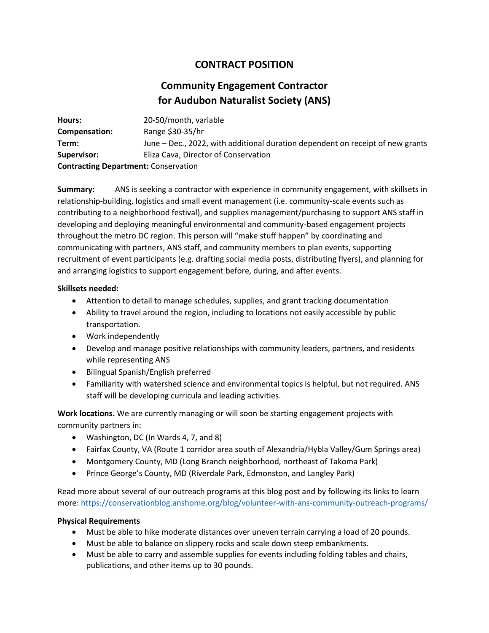## **CONTRACT POSITION**

# **Community Engagement Contractor for Audubon Naturalist Society (ANS)**

| Hours:                                      | 20-50/month, variable                                                          |
|---------------------------------------------|--------------------------------------------------------------------------------|
| Compensation:                               | Range \$30-35/hr                                                               |
| Term:                                       | June – Dec., 2022, with additional duration dependent on receipt of new grants |
| Supervisor:                                 | Eliza Cava, Director of Conservation                                           |
| <b>Contracting Department: Conservation</b> |                                                                                |

**Summary:** ANS is seeking a contractor with experience in community engagement, with skillsets in relationship-building, logistics and small event management (i.e. community-scale events such as contributing to a neighborhood festival), and supplies management/purchasing to support ANS staff in developing and deploying meaningful environmental and community-based engagement projects throughout the metro DC region. This person will "make stuff happen" by coordinating and communicating with partners, ANS staff, and community members to plan events, supporting recruitment of event participants (e.g. drafting social media posts, distributing flyers), and planning for and arranging logistics to support engagement before, during, and after events.

#### **Skillsets needed:**

- Attention to detail to manage schedules, supplies, and grant tracking documentation
- Ability to travel around the region, including to locations not easily accessible by public transportation.
- Work independently
- Develop and manage positive relationships with community leaders, partners, and residents while representing ANS
- Bilingual Spanish/English preferred
- Familiarity with watershed science and environmental topics is helpful, but not required. ANS staff will be developing curricula and leading activities.

**Work locations.** We are currently managing or will soon be starting engagement projects with community partners in:

- Washington, DC (In Wards 4, 7, and 8)
- Fairfax County, VA (Route 1 corridor area south of Alexandria/Hybla Valley/Gum Springs area)
- Montgomery County, MD (Long Branch neighborhood, northeast of Takoma Park)
- Prince George's County, MD (Riverdale Park, Edmonston, and Langley Park)

Read more about several of our outreach programs at this blog post and by following its links to learn more:<https://conservationblog.anshome.org/blog/volunteer-with-ans-community-outreach-programs/>

#### **Physical Requirements**

- Must be able to hike moderate distances over uneven terrain carrying a load of 20 pounds.
- Must be able to balance on slippery rocks and scale down steep embankments.
- Must be able to carry and assemble supplies for events including folding tables and chairs, publications, and other items up to 30 pounds.